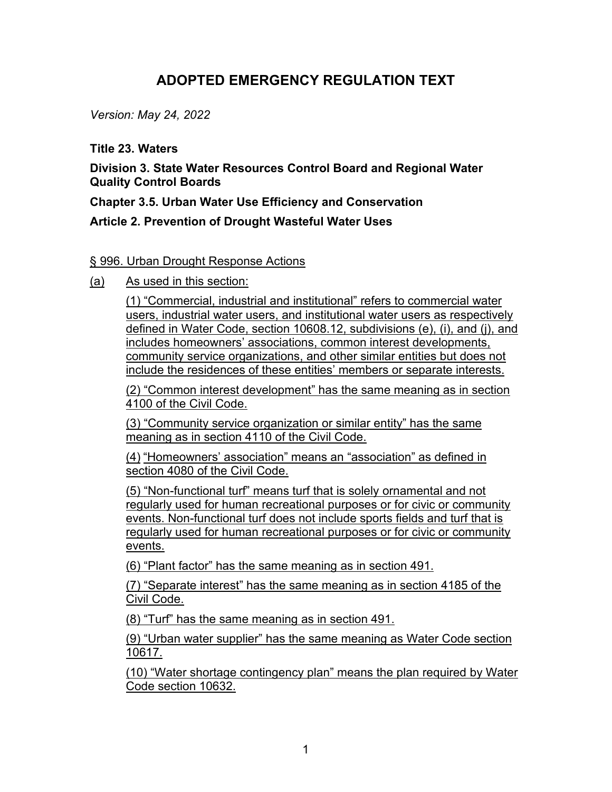## **ADOPTED EMERGENCY REGULATION TEXT**

*Version: May 24, 2022*

## **Title 23. Waters**

**Division 3. State Water Resources Control Board and Regional Water Quality Control Boards**

**Chapter 3.5. Urban Water Use Efficiency and Conservation**

## **Article 2. Prevention of Drought Wasteful Water Uses**

## § 996. Urban Drought Response Actions

(a) As used in this section:

(1) "Commercial, industrial and institutional" refers to commercial water users, industrial water users, and institutional water users as respectively defined in Water Code, section 10608.12, subdivisions (e), (i), and (j), and includes homeowners' associations, common interest developments, community service organizations, and other similar entities but does not include the residences of these entities' members or separate interests.

(2) "Common interest development" has the same meaning as in section 4100 of the Civil Code.

(3) "Community service organization or similar entity" has the same meaning as in section 4110 of the Civil Code.

(4) "Homeowners' association" means an "association" as defined in section 4080 of the Civil Code.

(5) "Non-functional turf" means turf that is solely ornamental and not regularly used for human recreational purposes or for civic or community events. Non-functional turf does not include sports fields and turf that is regularly used for human recreational purposes or for civic or community events.

(6) "Plant factor" has the same meaning as in section 491.

(7) "Separate interest" has the same meaning as in section 4185 of the Civil Code.

(8) "Turf" has the same meaning as in section 491.

(9) "Urban water supplier" has the same meaning as Water Code section 10617.

(10) "Water shortage contingency plan" means the plan required by Water Code section 10632.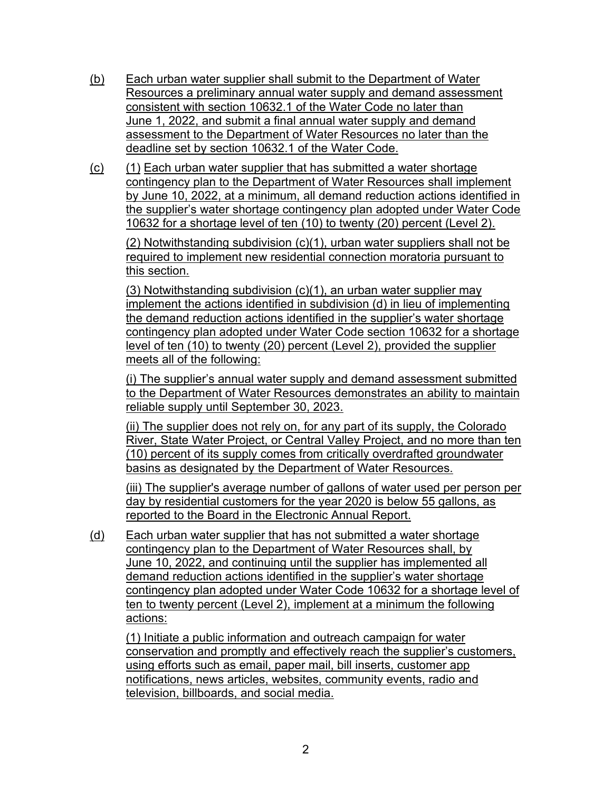- (b) Each urban water supplier shall submit to the Department of Water Resources a preliminary annual water supply and demand assessment consistent with section 10632.1 of the Water Code no later than June 1, 2022, and submit a final annual water supply and demand assessment to the Department of Water Resources no later than the deadline set by section 10632.1 of the Water Code.
- (c) (1) Each urban water supplier that has submitted a water shortage contingency plan to the Department of Water Resources shall implement by June 10, 2022, at a minimum, all demand reduction actions identified in the supplier's water shortage contingency plan adopted under Water Code 10632 for a shortage level of ten (10) to twenty (20) percent (Level 2).

(2) Notwithstanding subdivision (c)(1), urban water suppliers shall not be required to implement new residential connection moratoria pursuant to this section.

(3) Notwithstanding subdivision (c)(1), an urban water supplier may implement the actions identified in subdivision (d) in lieu of implementing the demand reduction actions identified in the supplier's water shortage contingency plan adopted under Water Code section 10632 for a shortage level of ten (10) to twenty (20) percent (Level 2), provided the supplier meets all of the following:

(i) The supplier's annual water supply and demand assessment submitted to the Department of Water Resources demonstrates an ability to maintain reliable supply until September 30, 2023.

(ii) The supplier does not rely on, for any part of its supply, the Colorado River, State Water Project, or Central Valley Project, and no more than ten (10) percent of its supply comes from critically overdrafted groundwater basins as designated by the Department of Water Resources.

(iii) The supplier's average number of gallons of water used per person per day by residential customers for the year 2020 is below 55 gallons, as reported to the Board in the Electronic Annual Report.

(d) Each urban water supplier that has not submitted a water shortage contingency plan to the Department of Water Resources shall, by June 10, 2022, and continuing until the supplier has implemented all demand reduction actions identified in the supplier's water shortage contingency plan adopted under Water Code 10632 for a shortage level of ten to twenty percent (Level 2), implement at a minimum the following actions:

(1) Initiate a public information and outreach campaign for water conservation and promptly and effectively reach the supplier's customers, using efforts such as email, paper mail, bill inserts, customer app notifications, news articles, websites, community events, radio and television, billboards, and social media.